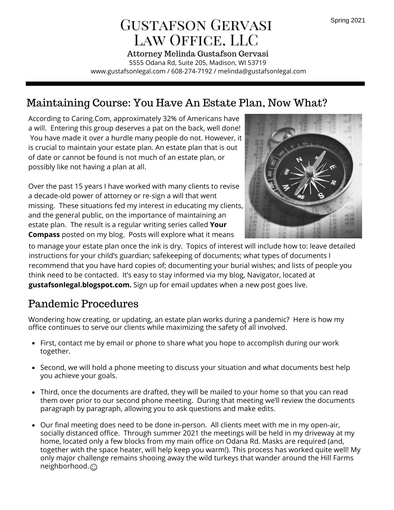# **GUSTAFSON GERVASI** LAW OFFICE. LLC

5555 Odana Rd, Suite 205, Madison, WI 53719 www.gustafsonlegal.com / 608-274-7192 / melinda@gustafsonlegal.com Attorney Melinda Gustafson Gervasi

### Maintaining Course: You Have An Estate Plan, Now What?

According to Caring.Com, approximately 32% of Americans have a will. Entering this group deserves a pat on the back, well done! You have made it over a hurdle many people do not. However, it is crucial to maintain your estate plan. An estate plan that is out of date or cannot be found is not much of an estate plan, or possibly like not having a plan at all.

Over the past 15 years I have worked with many clients to revise a decade-old power of attorney or re-sign a will that went missing. These situations fed my interest in educating my clients, and the general public, on the importance of maintaining an estate plan. The result is a regular writing series called **Your Compass** posted on my blog. Posts will explore what it means



to manage your estate plan once the ink is dry. Topics of interest will include how to: leave detailed instructions for your child's guardian; safekeeping of documents; what types of documents I recommend that you have hard copies of; documenting your burial wishes; and lists of people you think need to be contacted. It's easy to stay informed via my blog, Navigator, located at **gustafsonlegal.blogspot.com.** Sign up for email updates when a new post goes live.

#### Pandemic Procedures

Wondering how creating, or updating, an estate plan works during a pandemic? Here is how my office continues to serve our clients while maximizing the safety of all involved.

- First, contact me by email or phone to share what you hope to accomplish during our work together.
- Second, we will hold a phone meeting to discuss your situation and what documents best help you achieve your goals.
- Third, once the documents are drafted, they will be mailed to your home so that you can read them over prior to our second phone meeting. During that meeting we'll review the documents paragraph by paragraph, allowing you to ask questions and make edits.
- Our final meeting does need to be done in-person. All clients meet with me in my open-air, socially distanced office. Through summer 2021 the meetings will be held in my driveway at my home, located only a few blocks from my main office on Odana Rd. Masks are required (and, together with the space heater, will help keep you warm!). This process has worked quite well! My only major challenge remains shooing away the wild turkeys that wander around the Hill Farms neighborhood.  $\odot$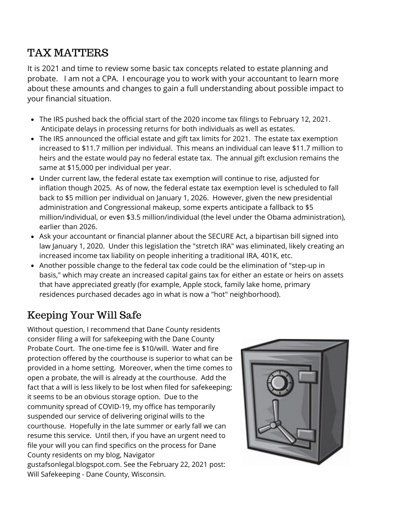### TAX MATTERS

It is 2021 and time to review some basic tax concepts related to estate planning and probate. I am not a CPA. I encourage you to work with your accountant to learn more about these amounts and changes to gain a full understanding about possible impact to your financial situation.

- The IRS pushed back the official start of the 2020 income tax filings to February 12, 2021. Anticipate delays in processing returns for both individuals as well as estates.
- The IRS announced the official estate and gift tax limits for 2021. The estate tax exemption increased to \$11.7 million per individual. This means an individual can leave \$11.7 million to heirs and the estate would pay no federal estate tax. The annual gift exclusion remains the same at \$15,000 per individual per year.
- Under current law, the federal estate tax exemption will continue to rise, adjusted for inflation though 2025. As of now, the federal estate tax exemption level is scheduled to fall back to \$5 million per individual on January 1, 2026. However, given the new presidential administration and Congressional makeup, some experts anticipate a fallback to \$5 million/individual, or even \$3.5 million/individual (the level under the Obama administration), earlier than 2026.
- Ask your accountant or financial planner about the SECURE Act, a bipartisan bill signed into law January 1, 2020. Under this legislation the "stretch IRA" was eliminated, likely creating an increased income tax liability on people inheriting a traditional IRA, 401K, etc.
- Another possible change to the federal tax code could be the elimination of "step-up in basis," which may create an increased capital gains tax for either an estate or heirs on assets that have appreciated greatly (for example, Apple stock, family lake home, primary residences purchased decades ago in what is now a "hot" neighborhood).

# Keeping Your Will Safe

Without question, I recommend that Dane County residents consider filing a will for safekeeping with the Dane County Probate Court. The one-time fee is \$10/will. Water and fire protection offered by the courthouse is superior to what can be provided in a home setting. Moreover, when the time comes to open a probate, the will is already at the courthouse. Add the fact that a will is less likely to be lost when filed for safekeeping; it seems to be an obvious storage option. Due to the community spread of COVID-19, my office has temporarily suspended our service of delivering original wills to the courthouse. Hopefully in the late summer or early fall we can resume this service. Until then, if you have an urgent need to file your will you can find specifics on the process for Dane County residents on my blog, Navigator gustafsonlegal.blogspot.com. See the February 22, 2021 post: Will Safekeeping - Dane County, Wisconsin.

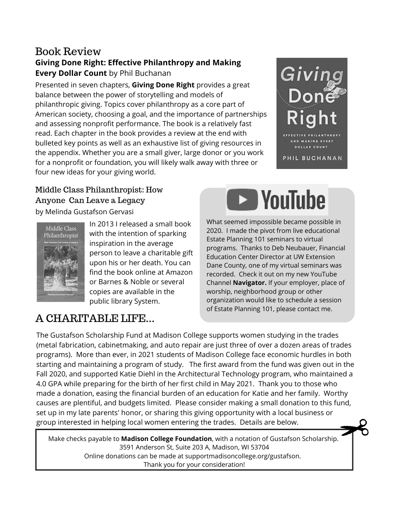#### **Giving Done Right: Effective Philanthropy and Making Every Dollar Count** by Phil Buchanan Book Review

Presented in seven chapters, **Giving Done Right** provides a great balance between the power of storytelling and models of philanthropic giving. Topics cover philanthropy as a core part of American society, choosing a goal, and the importance of partnerships and assessing nonprofit performance. The book is a relatively fast read. Each chapter in the book provides a review at the end with bulleted key points as well as an exhaustive list of giving resources in the appendix. Whether you are a small giver, large donor or you work for a nonprofit or foundation, you will likely walk away with three or four new ideas for your giving world.



### Middle Class Philanthropist: How Anyone Can Leave a Legacy

by Melinda Gustafson Gervasi





In 2013 I released a small book with the intention of sparking inspiration in the average person to leave a charitable gift upon his or her death. You can find the book online at Amazon or Barnes & Noble or several copies are available in the public library System.

#### What seemed impossible became possible in 2020. I made the pivot from live educational Estate Planning 101 seminars to virtual programs. Thanks to Deb Neubauer, Financial Education Center Director at UW Extension Dane County, one of my virtual seminars was recorded. Check it out on my new YouTube Channel **Navigator.** If your employer, place of worship, neighborhood group or other organization would like to schedule a session of Estate Planning 101, please contact me.

# A CHARITABLE LIFE...

The Gustafson Scholarship Fund at Madison College supports women studying in the trades (metal fabrication, cabinetmaking, and auto repair are just three of over a dozen areas of trades programs). More than ever, in 2021 students of Madison College face economic hurdles in both starting and maintaining a program of study. The first award from the fund was given out in the Fall 2020, and supported Katie Diehl in the Architectural Technology program, who maintained a 4.0 GPA while preparing for the birth of her first child in May 2021. Thank you to those who made a donation, easing the financial burden of an education for Katie and her family. Worthy causes are plentiful, and budgets limited. Please consider making a small donation to this fund, set up in my late parents' honor, or sharing this giving opportunity with a local business or group interested in helping local women entering the trades. Details are below.

Make checks payable to **Madison College Foundation**, with a notation of Gustafson Scholarship. 3591 Anderson St, Suite 203 A, Madison, WI 53704 Online donations can be made at supportmadisoncollege.org/gustafson. Thank you for your consideration!